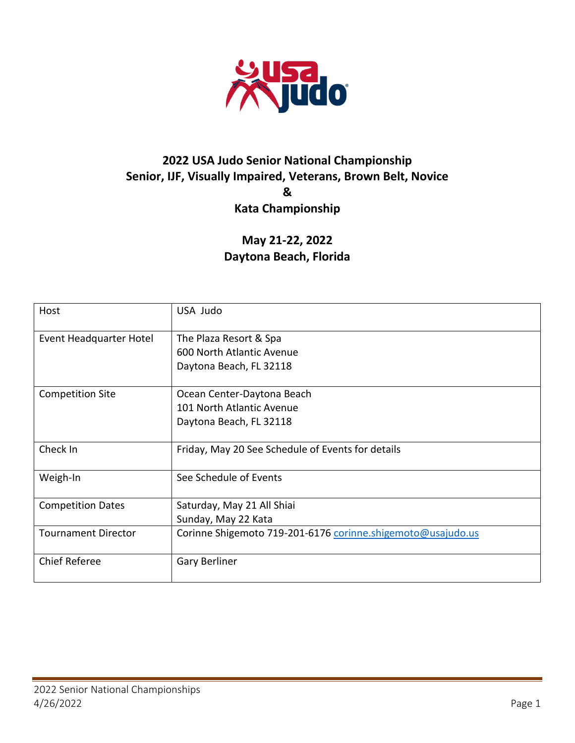

# **2022 USA Judo Senior National Championship Senior, IJF, Visually Impaired, Veterans, Brown Belt, Novice & Kata Championship**

**May 21-22, 2022 Daytona Beach, Florida**

| Host                       | USA Judo                                                    |
|----------------------------|-------------------------------------------------------------|
| Event Headquarter Hotel    | The Plaza Resort & Spa                                      |
|                            | 600 North Atlantic Avenue                                   |
|                            | Daytona Beach, FL 32118                                     |
| <b>Competition Site</b>    | Ocean Center-Daytona Beach                                  |
|                            | 101 North Atlantic Avenue                                   |
|                            | Daytona Beach, FL 32118                                     |
| Check In                   | Friday, May 20 See Schedule of Events for details           |
| Weigh-In                   | See Schedule of Events                                      |
| <b>Competition Dates</b>   | Saturday, May 21 All Shiai                                  |
|                            | Sunday, May 22 Kata                                         |
| <b>Tournament Director</b> | Corinne Shigemoto 719-201-6176 corinne.shigemoto@usajudo.us |
| <b>Chief Referee</b>       | Gary Berliner                                               |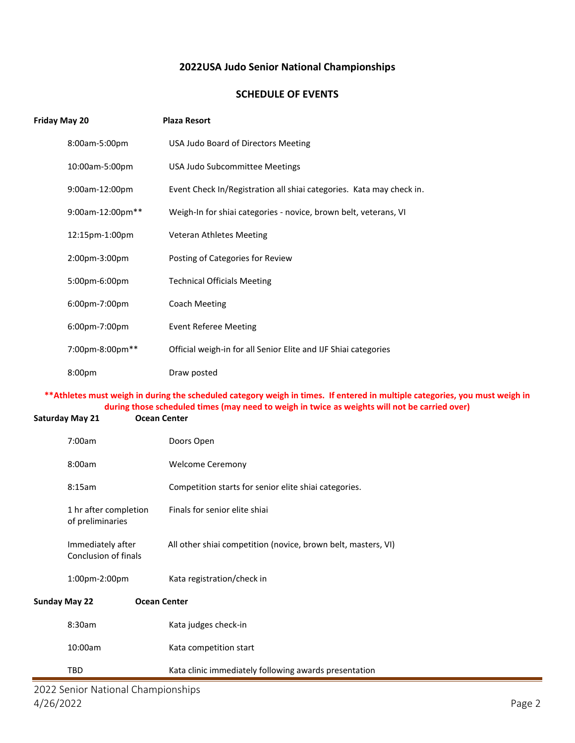### **2022USA Judo Senior National Championships**

### **SCHEDULE OF EVENTS**

| Friday May 20                             | <b>Plaza Resort</b>                                                                                                                                                                                                           |
|-------------------------------------------|-------------------------------------------------------------------------------------------------------------------------------------------------------------------------------------------------------------------------------|
| 8:00am-5:00pm                             | USA Judo Board of Directors Meeting                                                                                                                                                                                           |
| 10:00am-5:00pm                            | USA Judo Subcommittee Meetings                                                                                                                                                                                                |
| 9:00am-12:00pm                            | Event Check In/Registration all shiai categories. Kata may check in.                                                                                                                                                          |
| 9:00am-12:00pm**                          | Weigh-In for shiai categories - novice, brown belt, veterans, VI                                                                                                                                                              |
| 12:15pm-1:00pm                            | Veteran Athletes Meeting                                                                                                                                                                                                      |
| 2:00pm-3:00pm                             | Posting of Categories for Review                                                                                                                                                                                              |
| 5:00pm-6:00pm                             | <b>Technical Officials Meeting</b>                                                                                                                                                                                            |
| 6:00pm-7:00pm                             | <b>Coach Meeting</b>                                                                                                                                                                                                          |
| 6:00pm-7:00pm                             | <b>Event Referee Meeting</b>                                                                                                                                                                                                  |
| 7:00pm-8:00pm**                           | Official weigh-in for all Senior Elite and IJF Shiai categories                                                                                                                                                               |
| 8:00pm                                    | Draw posted                                                                                                                                                                                                                   |
|                                           |                                                                                                                                                                                                                               |
|                                           | ** Athletes must weigh in during the scheduled category weigh in times. If entered in multiple categories, you must weigh in<br>during those scheduled times (may need to weigh in twice as weights will not be carried over) |
| <b>Saturday May 21</b>                    | <b>Ocean Center</b>                                                                                                                                                                                                           |
| 7:00am                                    | Doors Open                                                                                                                                                                                                                    |
| 8:00am                                    | <b>Welcome Ceremony</b>                                                                                                                                                                                                       |
| 8:15am                                    | Competition starts for senior elite shiai categories.                                                                                                                                                                         |
| 1 hr after completion<br>of preliminaries | Finals for senior elite shiai                                                                                                                                                                                                 |
| Immediately after<br>Conclusion of finals | All other shiai competition (novice, brown belt, masters, VI)                                                                                                                                                                 |
| 1:00pm-2:00pm                             | Kata registration/check in                                                                                                                                                                                                    |
| <b>Sunday May 22</b>                      | <b>Ocean Center</b>                                                                                                                                                                                                           |
| 8:30am                                    | Kata judges check-in                                                                                                                                                                                                          |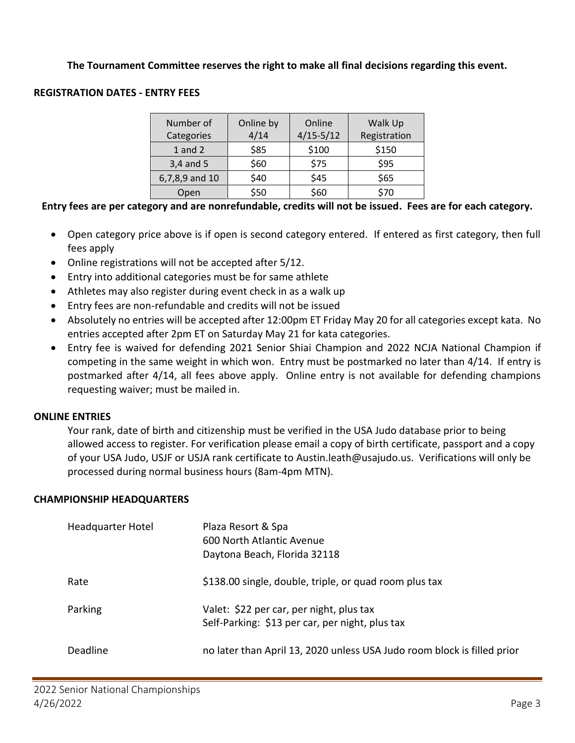## **The Tournament Committee reserves the right to make all final decisions regarding this event.**

## **REGISTRATION DATES - ENTRY FEES**

| Number of<br>Categories | Online by<br>4/14 | Online<br>$4/15 - 5/12$ | Walk Up<br>Registration |
|-------------------------|-------------------|-------------------------|-------------------------|
| $1$ and $2$             | \$85              | \$100                   | \$150                   |
| $3,4$ and 5             | \$60              | \$75                    | \$95                    |
| 6,7,8,9 and 10          | \$40              | \$45                    | \$65                    |
| Open                    | \$50              | \$60                    | \$70                    |

## **Entry fees are per category and are nonrefundable, credits will not be issued. Fees are for each category.**

- Open category price above is if open is second category entered. If entered as first category, then full fees apply
- Online registrations will not be accepted after 5/12.
- Entry into additional categories must be for same athlete
- Athletes may also register during event check in as a walk up
- Entry fees are non-refundable and credits will not be issued
- Absolutely no entries will be accepted after 12:00pm ET Friday May 20 for all categories except kata. No entries accepted after 2pm ET on Saturday May 21 for kata categories.
- Entry fee is waived for defending 2021 Senior Shiai Champion and 2022 NCJA National Champion if competing in the same weight in which won. Entry must be postmarked no later than 4/14. If entry is postmarked after 4/14, all fees above apply. Online entry is not available for defending champions requesting waiver; must be mailed in.

#### **ONLINE ENTRIES**

Your rank, date of birth and citizenship must be verified in the USA Judo database prior to being allowed access to register. For verification please email a copy of birth certificate, passport and a copy of your USA Judo, USJF or USJA rank certificate to Austin.leath@usajudo.us. Verifications will only be processed during normal business hours (8am-4pm MTN).

#### **CHAMPIONSHIP HEADQUARTERS**

| Headquarter Hotel | Plaza Resort & Spa<br>600 North Atlantic Avenue<br>Daytona Beach, Florida 32118             |
|-------------------|---------------------------------------------------------------------------------------------|
| Rate              | \$138.00 single, double, triple, or quad room plus tax                                      |
| Parking           | Valet: \$22 per car, per night, plus tax<br>Self-Parking: \$13 per car, per night, plus tax |
| Deadline          | no later than April 13, 2020 unless USA Judo room block is filled prior                     |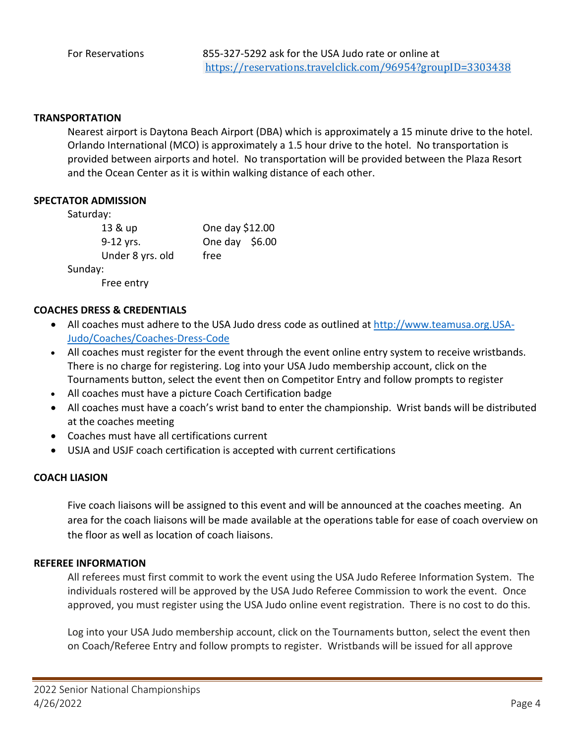#### **TRANSPORTATION**

Nearest airport is Daytona Beach Airport (DBA) which is approximately a 15 minute drive to the hotel. Orlando International (MCO) is approximately a 1.5 hour drive to the hotel. No transportation is provided between airports and hotel. No transportation will be provided between the Plaza Resort and the Ocean Center as it is within walking distance of each other.

#### **SPECTATOR ADMISSION**

Saturday:

| 13 & up          | One day \$12.00 |  |
|------------------|-----------------|--|
| 9-12 yrs.        | One day $$6.00$ |  |
| Under 8 yrs. old | free            |  |
| Sunday:          |                 |  |

Free entry

#### **COACHES DRESS & CREDENTIALS**

- All coaches must adhere to the USA Judo dress code as outlined at [http://www.teamusa.org.USA-](http://www.teamusa.org.usa-judo/Coaches/Coaches-Dress-Code)[Judo/Coaches/Coaches-Dress-Code](http://www.teamusa.org.usa-judo/Coaches/Coaches-Dress-Code)
- All coaches must register for the event through the event online entry system to receive wristbands. There is no charge for registering. Log into your USA Judo membership account, click on the Tournaments button, select the event then on Competitor Entry and follow prompts to register
- All coaches must have a picture Coach Certification badge
- All coaches must have a coach's wrist band to enter the championship. Wrist bands will be distributed at the coaches meeting
- Coaches must have all certifications current
- USJA and USJF coach certification is accepted with current certifications

#### **COACH LIASION**

Five coach liaisons will be assigned to this event and will be announced at the coaches meeting. An area for the coach liaisons will be made available at the operations table for ease of coach overview on the floor as well as location of coach liaisons.

#### **REFEREE INFORMATION**

All referees must first commit to work the event using the USA Judo Referee Information System. The individuals rostered will be approved by the USA Judo Referee Commission to work the event. Once approved, you must register using the USA Judo online event registration. There is no cost to do this.

Log into your USA Judo membership account, click on the Tournaments button, select the event then on Coach/Referee Entry and follow prompts to register. Wristbands will be issued for all approve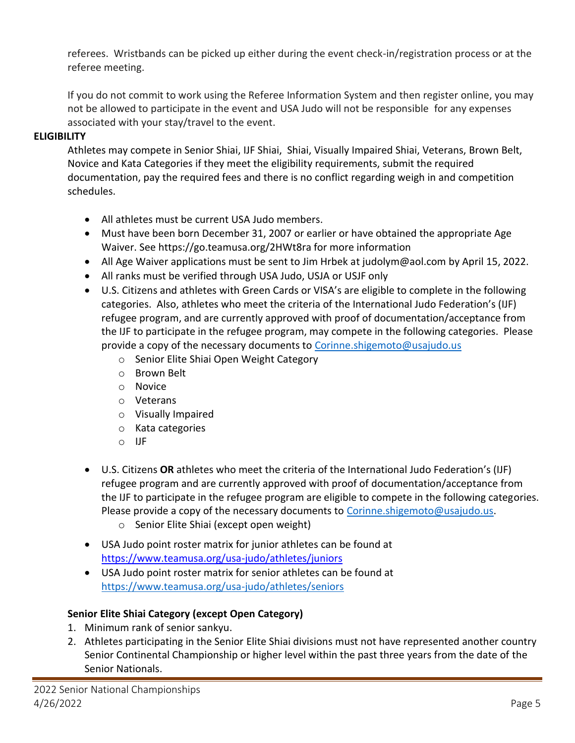referees. Wristbands can be picked up either during the event check-in/registration process or at the referee meeting.

If you do not commit to work using the Referee Information System and then register online, you may not be allowed to participate in the event and USA Judo will not be responsible for any expenses associated with your stay/travel to the event.

## **ELIGIBILITY**

Athletes may compete in Senior Shiai, IJF Shiai, Shiai, Visually Impaired Shiai, Veterans, Brown Belt, Novice and Kata Categories if they meet the eligibility requirements, submit the required documentation, pay the required fees and there is no conflict regarding weigh in and competition schedules.

- All athletes must be current USA Judo members.
- Must have been born December 31, 2007 or earlier or have obtained the appropriate Age Waiver. See https://go.teamusa.org/2HWt8ra for more information
- All Age Waiver applications must be sent to Jim Hrbek at judolym@aol.com by April 15, 2022.
- All ranks must be verified through USA Judo, USJA or USJF only
- U.S. Citizens and athletes with Green Cards or VISA's are eligible to complete in the following categories. Also, athletes who meet the criteria of the International Judo Federation's (IJF) refugee program, and are currently approved with proof of documentation/acceptance from the IJF to participate in the refugee program, may compete in the following categories. Please provide a copy of the necessary documents to [Corinne.shigemoto@usajudo.us](mailto:Corinne.shigemoto@usajudo.us)
	- o Senior Elite Shiai Open Weight Category
	- o Brown Belt
	- o Novice
	- o Veterans
	- o Visually Impaired
	- o Kata categories
	- o IJF
- U.S. Citizens **OR** athletes who meet the criteria of the International Judo Federation's (IJF) refugee program and are currently approved with proof of documentation/acceptance from the IJF to participate in the refugee program are eligible to compete in the following categories. Please provide a copy of the necessary documents to [Corinne.shigemoto@usajudo.us.](mailto:Corinne.shigemoto@usajudo.us)
	- o Senior Elite Shiai (except open weight)
- USA Judo point roster matrix for junior athletes can be found at <https://www.teamusa.org/usa-judo/athletes/juniors>
- USA Judo point roster matrix for senior athletes can be found at <https://www.teamusa.org/usa-judo/athletes/seniors>

## **Senior Elite Shiai Category (except Open Category)**

- 1. Minimum rank of senior sankyu.
- 2. Athletes participating in the Senior Elite Shiai divisions must not have represented another country Senior Continental Championship or higher level within the past three years from the date of the Senior Nationals.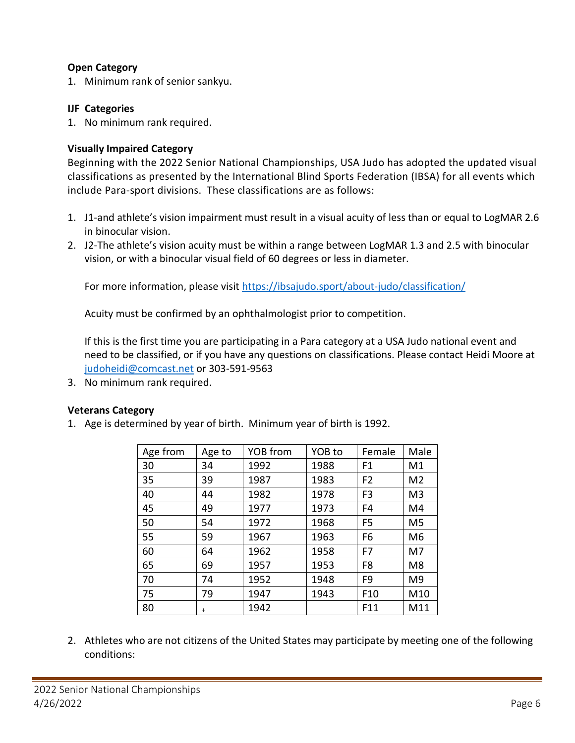## **Open Category**

1. Minimum rank of senior sankyu.

## **IJF Categories**

1. No minimum rank required.

## **Visually Impaired Category**

Beginning with the 2022 Senior National Championships, USA Judo has adopted the updated visual classifications as presented by the International Blind Sports Federation (IBSA) for all events which include Para-sport divisions. These classifications are as follows:

- 1. J1-and athlete's vision impairment must result in a visual acuity of less than or equal to LogMAR 2.6 in binocular vision.
- 2. J2-The athlete's vision acuity must be within a range between LogMAR 1.3 and 2.5 with binocular vision, or with a binocular visual field of 60 degrees or less in diameter.

For more information, please visi[t https://ibsajudo.sport/about-judo/classification/](https://ibsajudo.sport/about-judo/classification/)

Acuity must be confirmed by an ophthalmologist prior to competition.

If this is the first time you are participating in a Para category at a USA Judo national event and need to be classified, or if you have any questions on classifications. Please contact Heidi Moore at [judoheidi@comcast.net](mailto:judoheidi@comcast.net) or 303-591-9563

3. No minimum rank required.

## **Veterans Category**

1. Age is determined by year of birth. Minimum year of birth is 1992.

| Age from | Age to    | YOB from | YOB to | Female          | Male           |
|----------|-----------|----------|--------|-----------------|----------------|
| 30       | 34        | 1992     | 1988   | F <sub>1</sub>  | M1             |
| 35       | 39        | 1987     | 1983   | F <sub>2</sub>  | M <sub>2</sub> |
| 40       | 44        | 1982     | 1978   | F <sub>3</sub>  | M <sub>3</sub> |
| 45       | 49        | 1977     | 1973   | F4              | M4             |
| 50       | 54        | 1972     | 1968   | F <sub>5</sub>  | M <sub>5</sub> |
| 55       | 59        | 1967     | 1963   | F <sub>6</sub>  | M <sub>6</sub> |
| 60       | 64        | 1962     | 1958   | F7              | M7             |
| 65       | 69        | 1957     | 1953   | F <sub>8</sub>  | M <sub>8</sub> |
| 70       | 74        | 1952     | 1948   | F <sub>9</sub>  | M <sub>9</sub> |
| 75       | 79        | 1947     | 1943   | F <sub>10</sub> | M10            |
| 80       | $\ddot{}$ | 1942     |        | F11             | M11            |

2. Athletes who are not citizens of the United States may participate by meeting one of the following conditions: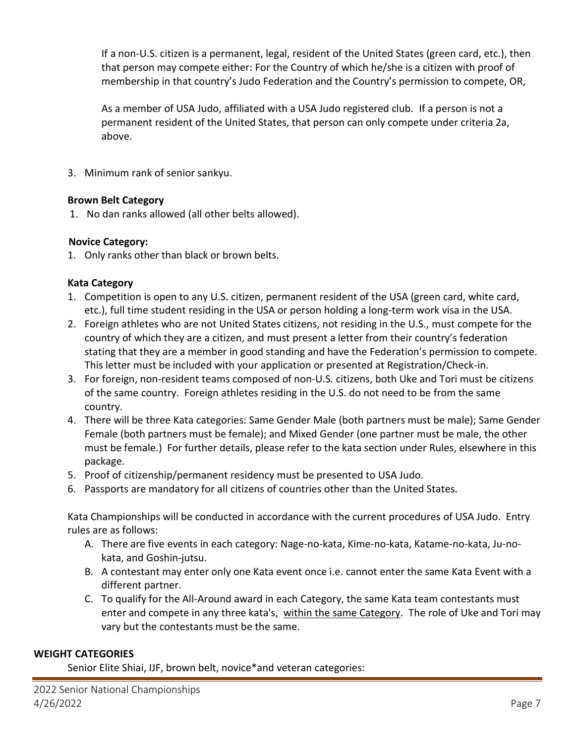If a non-U.S. citizen is a permanent, legal, resident of the United States (green card, etc.), then that person may compete either: For the Country of which he/she is a citizen with proof of membership in that country's Judo Federation and the Country's permission to compete, OR,

As a member of USA Judo, affiliated with a USA Judo registered club. If a person is not a permanent resident of the United States, that person can only compete under criteria 2a, above.

3. Minimum rank of senior sankyu.

## **Brown Belt Category**

1. No dan ranks allowed (all other belts allowed).

## **Novice Category:**

1. Only ranks other than black or brown belts.

## **Kata Category**

- 1. Competition is open to any U.S. citizen, permanent resident of the USA (green card, white card, etc.), full time student residing in the USA or person holding a long-term work visa in the USA.
- 2. Foreign athletes who are not United States citizens, not residing in the U.S., must compete for the country of which they are a citizen, and must present a letter from their country's federation stating that they are a member in good standing and have the Federation's permission to compete. This letter must be included with your application or presented at Registration/Check-in.
- 3. For foreign, non-resident teams composed of non-U.S. citizens, both Uke and Tori must be citizens of the same country. Foreign athletes residing in the U.S. do not need to be from the same country.
- 4. There will be three Kata categories: Same Gender Male (both partners must be male); Same Gender Female (both partners must be female); and Mixed Gender (one partner must be male, the other must be female.) For further details, please refer to the kata section under Rules, elsewhere in this package.
- 5. Proof of citizenship/permanent residency must be presented to USA Judo.
- 6. Passports are mandatory for all citizens of countries other than the United States.

Kata Championships will be conducted in accordance with the current procedures of USA Judo. Entry rules are as follows:

- A. There are five events in each category: Nage-no-kata, Kime-no-kata, Katame-no-kata, Ju-nokata, and Goshin-jutsu.
- B. A contestant may enter only one Kata event once i.e. cannot enter the same Kata Event with a different partner.
- C. To qualify for the All-Around award in each Category, the same Kata team contestants must enter and compete in any three kata's, within the same Category. The role of Uke and Tori may vary but the contestants must be the same.

## **WEIGHT CATEGORIES**

Senior Elite Shiai, IJF, brown belt, novice\*and veteran categories: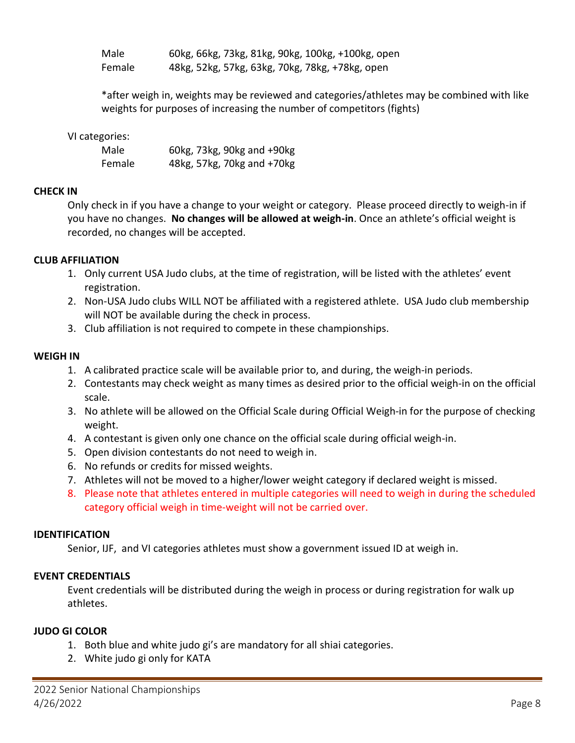Male 60kg, 66kg, 73kg, 81kg, 90kg, 100kg, +100kg, open Female 48kg, 52kg, 57kg, 63kg, 70kg, 78kg, +78kg, open

\*after weigh in, weights may be reviewed and categories/athletes may be combined with like weights for purposes of increasing the number of competitors (fights)

### VI categories:

| Male   | 60kg, 73kg, 90kg and +90kg |
|--------|----------------------------|
| Female | 48kg, 57kg, 70kg and +70kg |

#### **CHECK IN**

Only check in if you have a change to your weight or category. Please proceed directly to weigh-in if you have no changes. **No changes will be allowed at weigh-in**. Once an athlete's official weight is recorded, no changes will be accepted.

#### **CLUB AFFILIATION**

- 1. Only current USA Judo clubs, at the time of registration, will be listed with the athletes' event registration.
- 2. Non-USA Judo clubs WILL NOT be affiliated with a registered athlete. USA Judo club membership will NOT be available during the check in process.
- 3. Club affiliation is not required to compete in these championships.

#### **WEIGH IN**

- 1. A calibrated practice scale will be available prior to, and during, the weigh-in periods.
- 2. Contestants may check weight as many times as desired prior to the official weigh-in on the official scale.
- 3. No athlete will be allowed on the Official Scale during Official Weigh-in for the purpose of checking weight.
- 4. A contestant is given only one chance on the official scale during official weigh-in.
- 5. Open division contestants do not need to weigh in.
- 6. No refunds or credits for missed weights.
- 7. Athletes will not be moved to a higher/lower weight category if declared weight is missed.
- 8. Please note that athletes entered in multiple categories will need to weigh in during the scheduled category official weigh in time-weight will not be carried over.

#### **IDENTIFICATION**

Senior, IJF, and VI categories athletes must show a government issued ID at weigh in.

## **EVENT CREDENTIALS**

Event credentials will be distributed during the weigh in process or during registration for walk up athletes.

## **JUDO GI COLOR**

- 1. Both blue and white judo gi's are mandatory for all shiai categories.
- 2. White judo gi only for KATA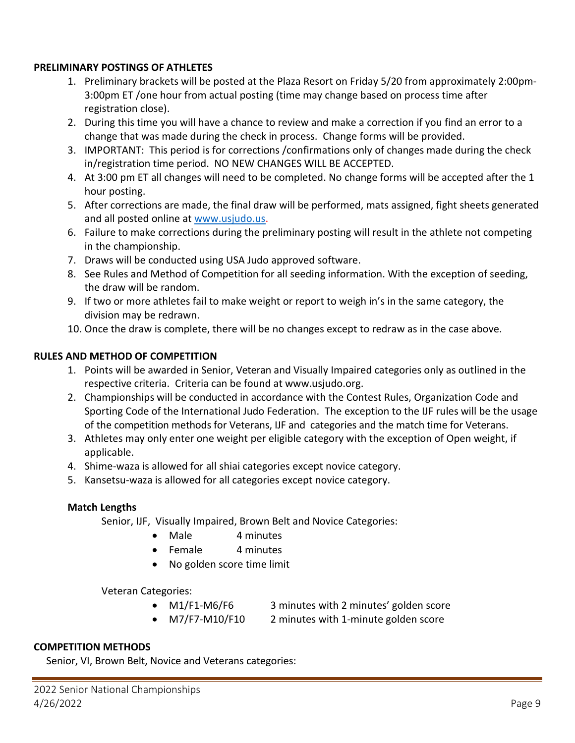#### **PRELIMINARY POSTINGS OF ATHLETES**

- 1. Preliminary brackets will be posted at the Plaza Resort on Friday 5/20 from approximately 2:00pm-3:00pm ET /one hour from actual posting (time may change based on process time after registration close).
- 2. During this time you will have a chance to review and make a correction if you find an error to a change that was made during the check in process. Change forms will be provided.
- 3. IMPORTANT: This period is for corrections /confirmations only of changes made during the check in/registration time period. NO NEW CHANGES WILL BE ACCEPTED.
- 4. At 3:00 pm ET all changes will need to be completed. No change forms will be accepted after the 1 hour posting.
- 5. After corrections are made, the final draw will be performed, mats assigned, fight sheets generated and all posted online at [www.usjudo.us.](http://www.usjudo.us/)
- 6. Failure to make corrections during the preliminary posting will result in the athlete not competing in the championship.
- 7. Draws will be conducted using USA Judo approved software.
- 8. See Rules and Method of Competition for all seeding information. With the exception of seeding, the draw will be random.
- 9. If two or more athletes fail to make weight or report to weigh in's in the same category, the division may be redrawn.
- 10. Once the draw is complete, there will be no changes except to redraw as in the case above.

## **RULES AND METHOD OF COMPETITION**

- 1. Points will be awarded in Senior, Veteran and Visually Impaired categories only as outlined in the respective criteria. Criteria can be found at [www.usjudo.org.](http://www.usjudo.org/)
- 2. Championships will be conducted in accordance with the Contest Rules, Organization Code and Sporting Code of the International Judo Federation. The exception to the IJF rules will be the usage of the competition methods for Veterans, IJF and categories and the match time for Veterans.
- 3. Athletes may only enter one weight per eligible category with the exception of Open weight, if applicable.
- 4. Shime-waza is allowed for all shiai categories except novice category.
- 5. Kansetsu-waza is allowed for all categories except novice category.

## **Match Lengths**

Senior, IJF, Visually Impaired, Brown Belt and Novice Categories:

- Male 4 minutes
- Female 4 minutes
- No golden score time limit

Veteran Categories:

- M1/F1-M6/F6 3 minutes with 2 minutes' golden score
- M7/F7-M10/F10 2 minutes with 1-minute golden score

## **COMPETITION METHODS**

Senior, VI, Brown Belt, Novice and Veterans categories: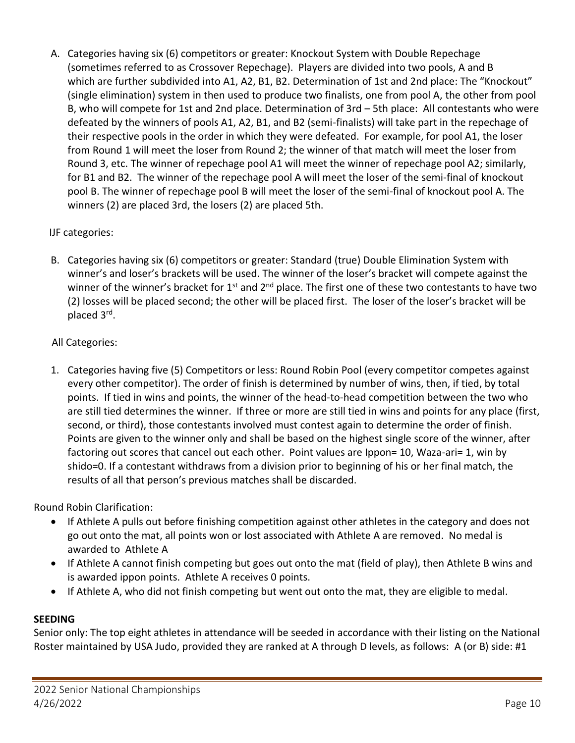A. Categories having six (6) competitors or greater: Knockout System with Double Repechage (sometimes referred to as Crossover Repechage). Players are divided into two pools, A and B which are further subdivided into A1, A2, B1, B2. Determination of 1st and 2nd place: The "Knockout" (single elimination) system in then used to produce two finalists, one from pool A, the other from pool B, who will compete for 1st and 2nd place. Determination of 3rd – 5th place: All contestants who were defeated by the winners of pools A1, A2, B1, and B2 (semi-finalists) will take part in the repechage of their respective pools in the order in which they were defeated. For example, for pool A1, the loser from Round 1 will meet the loser from Round 2; the winner of that match will meet the loser from Round 3, etc. The winner of repechage pool A1 will meet the winner of repechage pool A2; similarly, for B1 and B2. The winner of the repechage pool A will meet the loser of the semi-final of knockout pool B. The winner of repechage pool B will meet the loser of the semi-final of knockout pool A. The winners (2) are placed 3rd, the losers (2) are placed 5th.

## IJF categories:

B. Categories having six (6) competitors or greater: Standard (true) Double Elimination System with winner's and loser's brackets will be used. The winner of the loser's bracket will compete against the winner of the winner's bracket for 1<sup>st</sup> and 2<sup>nd</sup> place. The first one of these two contestants to have two (2) losses will be placed second; the other will be placed first. The loser of the loser's bracket will be placed 3<sup>rd</sup>.

## All Categories:

1. Categories having five (5) Competitors or less: Round Robin Pool (every competitor competes against every other competitor). The order of finish is determined by number of wins, then, if tied, by total points. If tied in wins and points, the winner of the head-to-head competition between the two who are still tied determines the winner. If three or more are still tied in wins and points for any place (first, second, or third), those contestants involved must contest again to determine the order of finish. Points are given to the winner only and shall be based on the highest single score of the winner, after factoring out scores that cancel out each other. Point values are Ippon= 10, Waza-ari= 1, win by shido=0. If a contestant withdraws from a division prior to beginning of his or her final match, the results of all that person's previous matches shall be discarded.

Round Robin Clarification:

- If Athlete A pulls out before finishing competition against other athletes in the category and does not go out onto the mat, all points won or lost associated with Athlete A are removed. No medal is awarded to Athlete A
- If Athlete A cannot finish competing but goes out onto the mat (field of play), then Athlete B wins and is awarded ippon points. Athlete A receives 0 points.
- If Athlete A, who did not finish competing but went out onto the mat, they are eligible to medal.

## **SEEDING**

Senior only: The top eight athletes in attendance will be seeded in accordance with their listing on the National Roster maintained by USA Judo, provided they are ranked at A through D levels, as follows: A (or B) side: #1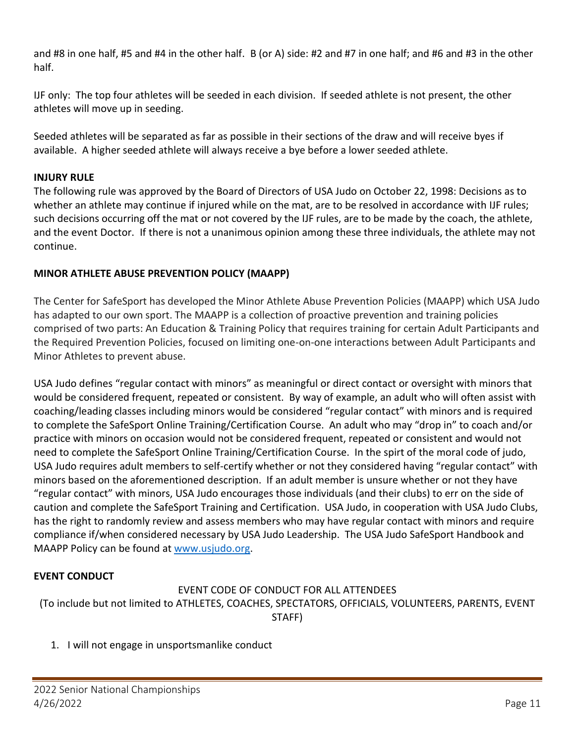and #8 in one half, #5 and #4 in the other half. B (or A) side: #2 and #7 in one half; and #6 and #3 in the other half.

IJF only: The top four athletes will be seeded in each division. If seeded athlete is not present, the other athletes will move up in seeding.

Seeded athletes will be separated as far as possible in their sections of the draw and will receive byes if available. A higher seeded athlete will always receive a bye before a lower seeded athlete.

## **INJURY RULE**

The following rule was approved by the Board of Directors of USA Judo on October 22, 1998: Decisions as to whether an athlete may continue if injured while on the mat, are to be resolved in accordance with IJF rules; such decisions occurring off the mat or not covered by the IJF rules, are to be made by the coach, the athlete, and the event Doctor. If there is not a unanimous opinion among these three individuals, the athlete may not continue.

## **MINOR ATHLETE ABUSE PREVENTION POLICY (MAAPP)**

The Center for SafeSport has developed the Minor Athlete Abuse Prevention Policies (MAAPP) which USA Judo has adapted to our own sport. The MAAPP is a collection of proactive prevention and training policies comprised of two parts: An Education & Training Policy that requires training for certain Adult Participants and the Required Prevention Policies, focused on limiting one-on-one interactions between Adult Participants and Minor Athletes to prevent abuse.

USA Judo defines "regular contact with minors" as meaningful or direct contact or oversight with minors that would be considered frequent, repeated or consistent. By way of example, an adult who will often assist with coaching/leading classes including minors would be considered "regular contact" with minors and is required to complete the SafeSport Online Training/Certification Course. An adult who may "drop in" to coach and/or practice with minors on occasion would not be considered frequent, repeated or consistent and would not need to complete the SafeSport Online Training/Certification Course. In the spirt of the moral code of judo, USA Judo requires adult members to self-certify whether or not they considered having "regular contact" with minors based on the aforementioned description. If an adult member is unsure whether or not they have "regular contact" with minors, USA Judo encourages those individuals (and their clubs) to err on the side of caution and complete the SafeSport Training and Certification. USA Judo, in cooperation with USA Judo Clubs, has the right to randomly review and assess members who may have regular contact with minors and require compliance if/when considered necessary by USA Judo Leadership. The USA Judo SafeSport Handbook and MAAPP Policy can be found at [www.usjudo.org.](http://www.usjudo.org/)

## **EVENT CONDUCT**

## EVENT CODE OF CONDUCT FOR ALL ATTENDEES (To include but not limited to ATHLETES, COACHES, SPECTATORS, OFFICIALS, VOLUNTEERS, PARENTS, EVENT STAFF)

1. I will not engage in unsportsmanlike conduct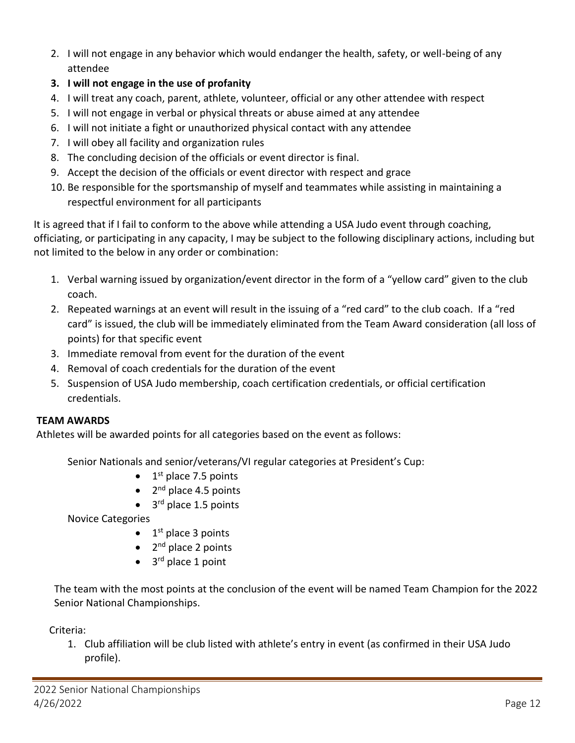- 2. I will not engage in any behavior which would endanger the health, safety, or well-being of any attendee
- **3. I will not engage in the use of profanity**
- 4. I will treat any coach, parent, athlete, volunteer, official or any other attendee with respect
- 5. I will not engage in verbal or physical threats or abuse aimed at any attendee
- 6. I will not initiate a fight or unauthorized physical contact with any attendee
- 7. I will obey all facility and organization rules
- 8. The concluding decision of the officials or event director is final.
- 9. Accept the decision of the officials or event director with respect and grace
- 10. Be responsible for the sportsmanship of myself and teammates while assisting in maintaining a respectful environment for all participants

It is agreed that if I fail to conform to the above while attending a USA Judo event through coaching, officiating, or participating in any capacity, I may be subject to the following disciplinary actions, including but not limited to the below in any order or combination:

- 1. Verbal warning issued by organization/event director in the form of a "yellow card" given to the club coach.
- 2. Repeated warnings at an event will result in the issuing of a "red card" to the club coach. If a "red card" is issued, the club will be immediately eliminated from the Team Award consideration (all loss of points) for that specific event
- 3. Immediate removal from event for the duration of the event
- 4. Removal of coach credentials for the duration of the event
- 5. Suspension of USA Judo membership, coach certification credentials, or official certification credentials.

## **TEAM AWARDS**

Athletes will be awarded points for all categories based on the event as follows:

Senior Nationals and senior/veterans/VI regular categories at President's Cup:

- $\bullet$  1<sup>st</sup> place 7.5 points
- 2<sup>nd</sup> place 4.5 points
- 3<sup>rd</sup> place 1.5 points

Novice Categories

- 1<sup>st</sup> place 3 points
- 2<sup>nd</sup> place 2 points
- 3<sup>rd</sup> place 1 point

The team with the most points at the conclusion of the event will be named Team Champion for the 2022 Senior National Championships.

Criteria:

1. Club affiliation will be club listed with athlete's entry in event (as confirmed in their USA Judo profile).